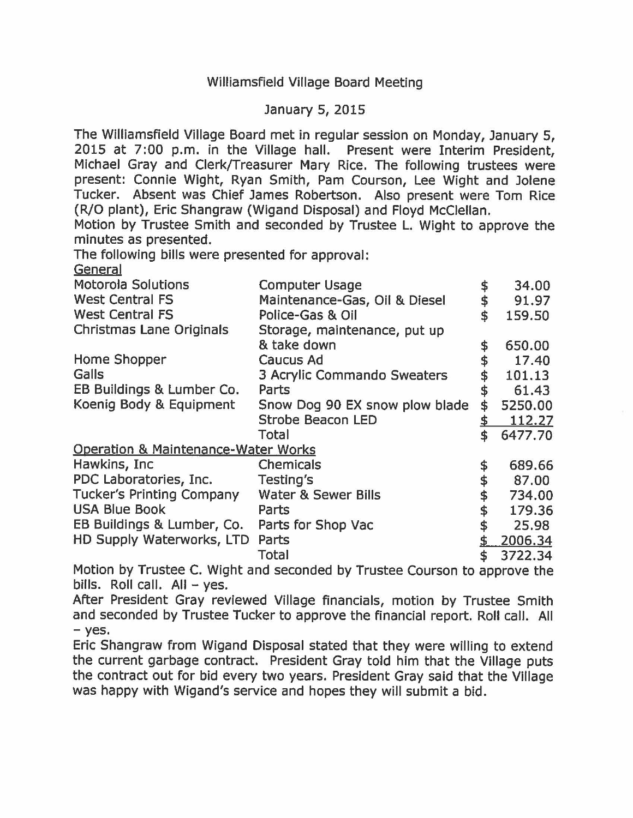## Williamsfield Village Board Meeting

## January 5, 2015

The Williamsfield Village Board met in regular session on Monday, January 5, 2015 at 7:00 p.m. in the Village hall. Present were Interim President, Michael Gray and Clerk/Treasurer Mary Rice. The following trustees were present: Connie Wight, Ryan Smith, Pam Courson, Lee Wight and Jolene Tucker. Absent was Chief James Robertson. Also present were Tom Rice (R/0 plant), Eric Shangraw (Wigand Disposal) and Floyd McClellan.

Motion by Trustee Smith and seconded by Trustee L. Wight to approve the minutes as presented.

The following bills were presented for approval:

General

| <b>Motorola Solutions</b>                      | <b>Computer Usage</b>          |    | 34.00   |
|------------------------------------------------|--------------------------------|----|---------|
| <b>West Central FS</b>                         | Maintenance-Gas, Oil & Diesel  |    | 91.97   |
| <b>West Central FS</b>                         | Police-Gas & Oil               |    | 159.50  |
| <b>Christmas Lane Originals</b>                | Storage, maintenance, put up   |    |         |
|                                                | & take down                    | \$ | 650.00  |
| Home Shopper                                   | Caucus Ad                      |    | 17.40   |
| Galls                                          | 3 Acrylic Commando Sweaters    |    | 101.13  |
| EB Buildings & Lumber Co.                      | Parts                          |    | 61.43   |
| Koenig Body & Equipment                        | Snow Dog 90 EX snow plow blade | \$ | 5250.00 |
|                                                | <b>Strobe Beacon LED</b>       |    | 112.27  |
|                                                | Total                          | \$ | 6477.70 |
| <b>Operation &amp; Maintenance-Water Works</b> |                                |    |         |
| Hawkins, Inc                                   | Chemicals                      |    | 689.66  |
| PDC Laboratories, Inc.                         | Testing's                      |    | 87.00   |
| <b>Tucker's Printing Company</b>               | Water & Sewer Bills            |    | 734.00  |
| <b>USA Blue Book</b>                           | Parts                          |    | 179.36  |
| EB Buildings & Lumber, Co.                     | Parts for Shop Vac             |    | 25.98   |
| HD Supply Waterworks, LTD                      | Parts                          |    | 2006.34 |
|                                                | <b>Total</b>                   | \$ | 3722.34 |

Motion by Trustee C. Wight and seconded by Trustee Courson to approve the bills. Roll call.  $All - yes$ .

After President Gray reviewed Village financials, motion by Trustee Smith and seconded by Trustee Tucker to approve the financial report. Roll call. All - yes.

Eric Shangraw from Wigand Disposal stated that they were willing to extend the current garbage contract. President Gray told him that the Village puts the contract out for bid every two years. President Gray said that the Village was happy with Wigand's service and hopes they will submit a bid.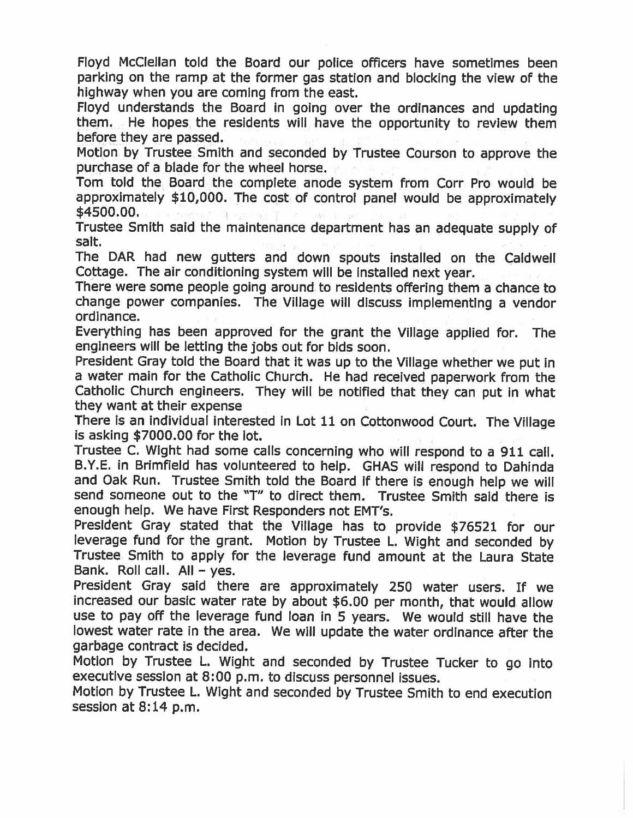Floyd McClellan told the Board our police officers have sometimes been parking on the ramp at the former gas station and blocking the view of the highway when you are coming from the east.

Floyd understands the Board In going over the ordinances and updating them. He hopes the residents will have the opportunity to review them before they are passed.

Motion by Trustee Smith and seconded by Trustee Courson to approve the purchase of a blade for the wheel horse.

Tom told the Board the complete anode system from Corr Pro would be approximately \$10,000. The cost of control panel would be approximately \$4500.00.

Trustee Smith said the maintenance department has an adequate supply of salt.

The DAR had new gutters and down spouts installed on the Caldwell Cottage. The air conditioning system will be installed next year.

There were some people going around to residents offering them a chance to change power companies. The Village will discuss Implementing a vendor ordinance.

Everything has been approved for the grant the VIiiage applied for. The engineers will be letting the jobs out for bids soon.

President Gray told the Board that it was up to the Village whether we put in a water main for the Catholic Church. He had received paperwork from the Catholic Church engineers. They will be notified that they can put in what they want at their expense

There is an individual interested in Lot 11 on Cottonwood Court. The Village is asking \$7000.00 for the lot.

Trustee C. Wight had some calls concerning who will respond to a 911 call. B.Y.E. in Brimfield has volunteered to help. GHAS will respond to Dahinda and Oak Run. Trustee Smith told the Board if there is enough help we will send someone out to the "T" to direct them. Trustee Smith said there is enough help. We have First Responders not EMT's.

President Gray stated that the Village has to provide \$76521 for our leverage fund for the grant. Motion by Trustee L. Wight and seconded by Trustee Smith to apply for the leverage fund amount at the Laura State Bank. Roll call.  $All - yes$ .

President Gray said there are approximately 250 water users. If we increased our basic water rate by about \$6.00 per month, that would allow use to pay off the leverage fund loan in 5 years. We would still have the lowest water rate in the area. We will update the water ordinance after the garbage contract is decided.

Motion by Trustee L. Wight and seconded by Trustee Tucker to go into executive session at 8:00 p.m. to discuss personnel issues.

Motion by Trustee L. Wight and seconded by Trustee Smith to end execution session at 8:14 p.m.